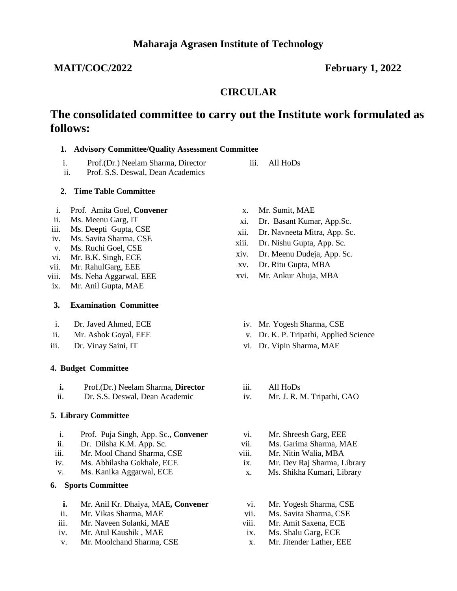## **MAIT/COC/2022 February 1, 2022**

# **CIRCULAR**

# **The consolidated committee to carry out the Institute work formulated as follows:**

### **1. Advisory Committee/Quality Assessment Committee**

- i. Prof.(Dr.) Neelam Sharma, Director
- ii. Prof. S.S. Deswal, Dean Academics

### **2. Time Table Committee**

- i. Prof. Amita Goel, **Convener**
- ii. Ms. Meenu Garg, IT
- iii. Ms. Deepti Gupta, CSE
- iv. Ms. Savita Sharma, CSE
- v. Ms. Ruchi Goel, CSE
- vi. Mr. B.K. Singh, ECE
- vii. Mr. RahulGarg, EEE
- viii. Ms. Neha Aggarwal, EEE
- ix. Mr. Anil Gupta, MAE

### **3. Examination Committee**

- i. Dr. Javed Ahmed, ECE
- ii. Mr. Ashok Goyal, EEE
- iii. Dr. Vinay Saini, IT

### **4. Budget Committee**

- **i.** Prof.(Dr.) Neelam Sharma, **Director**
- ii. Dr. S.S. Deswal, Dean Academic

### **5. Library Committee**

- i. Prof. Puja Singh, App. Sc., **Convener**
- ii. Dr. Dilsha K.M. App. Sc.
- iii. Mr. Mool Chand Sharma, CSE
- iv. Ms. Abhilasha Gokhale, ECE
- v. Ms. Kanika Aggarwal, ECE

### **6. Sports Committee**

- **i.** Mr. Anil Kr. Dhaiya, MAE**, Convener**
- ii. Mr. Vikas Sharma, MAE
- iii. Mr. Naveen Solanki, MAE
- iv. Mr. Atul Kaushik , MAE
- v. Mr. Moolchand Sharma, CSE

x. Mr. Sumit, MAE

iii. All HoDs

- xi. Dr. Basant Kumar, App.Sc.
- xii. Dr. Navneeta Mitra, App. Sc.
- xiii. Dr. Nishu Gupta, App. Sc.
- xiv. Dr. Meenu Dudeja, App. Sc.
- xv. Dr. Ritu Gupta, MBA
- xvi. Mr. Ankur Ahuja, MBA
	- iv. Mr. Yogesh Sharma, CSE
	- v. Dr. K. P. Tripathi, Applied Science
	- vi. Dr. Vipin Sharma, MAE
	- iii. All HoDs
	- iv. Mr. J. R. M. Tripathi, CAO
	- vi. Mr. Shreesh Garg, EEE
	- vii. Ms. Garima Sharma, MAE
- viii. Mr. Nitin Walia, MBA
- ix. Mr. Dev Raj Sharma, Library
- x. Ms. Shikha Kumari, Library
- vi. Mr. Yogesh Sharma, CSE
- vii. Ms. Savita Sharma, CSE
- viii. Mr. Amit Saxena, ECE
- ix. Ms. Shalu Garg, ECE
- x. Mr. Jitender Lather, EEE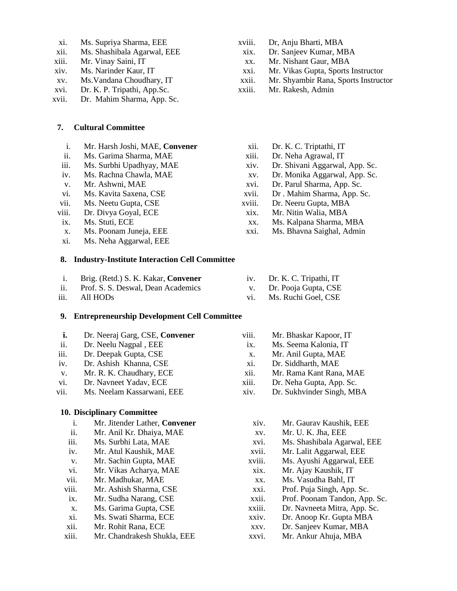- xi. Ms. Supriya Sharma, EEE
- xii. Ms. Shashibala Agarwal, EEE
- xiii. Mr. Vinay Saini, IT
- xiv. Ms. Narinder Kaur, IT
- xv. Ms.Vandana Choudhary, IT
- xvi. Dr. K. P. Tripathi, App.Sc.
- xvii. Dr. Mahim Sharma, App. Sc.

### **7. Cultural Committee**

- i. Mr. Harsh Joshi, MAE, **Convener**
- ii. Ms. Garima Sharma, MAE
- iii. Ms. Surbhi Upadhyay, MAE
- iv. Ms. Rachna Chawla, MAE
- v. Mr. Ashwni, MAE
- vi. Ms. Kavita Saxena, CSE
- vii. Ms. Neetu Gupta, CSE
- viii. Dr. Divya Goyal, ECE
- ix. Ms. Stuti, ECE
- x. Ms. Poonam Juneja, EEE
- xi. Ms. Neha Aggarwal, EEE

#### **8. Industry-Institute Interaction Cell Committee**

- i. Brig. (Retd.) S. K. Kakar, **Convener**
- ii. Prof. S. S. Deswal, Dean Academics
- iii. All HODs

#### **9. Entrepreneurship Development Cell Committee**

- **i.** Dr. Neeraj Garg, CSE, **Convener**
- ii. Dr. Neelu Nagpal , EEE
- iii. Dr. Deepak Gupta, CSE
- iv. Dr. Ashish Khanna, CSE
- v. Mr. R. K. Chaudhary, ECE
- vi. Dr. Navneet Yadav, ECE
- vii. Ms. Neelam Kassarwani, EEE

#### **10. Disciplinary Committee**

- i. Mr. Jitender Lather, **Convener**
- ii. Mr. Anil Kr. Dhaiya, MAE
- iii. Ms. Surbhi Lata, MAE
- iv. Mr. Atul Kaushik, MAE
- v. Mr. Sachin Gupta, MAE
- vi. Mr. Vikas Acharya, MAE
- vii. Mr. Madhukar, MAE
- viii. Mr. Ashish Sharma, CSE
- ix. Mr. Sudha Narang, CSE
- x. Ms. Garima Gupta, CSE
- xi. Ms. Swati Sharma, ECE
- xii. Mr. Rohit Rana, ECE
- xiii. Mr. Chandrakesh Shukla, EEE
- xviii. Dr, Anju Bharti, MBA
- xix. Dr. Sanjeev Kumar, MBA
- xx. Mr. Nishant Gaur, MBA
- xxi. Mr. Vikas Gupta, Sports Instructor
- xxii. Mr. Shyambir Rana, Sports Instructor
- xxiii. Mr. Rakesh, Admin
	- xii. Dr. K. C. Triptathi, IT
	- xiii. Dr. Neha Agrawal, IT
	- xiv. Dr. Shivani Aggarwal, App. Sc.
	- xv. Dr. Monika Aggarwal, App. Sc.
	- xvi. Dr. Parul Sharma, App. Sc.
	- xvii. Dr . Mahim Sharma, App. Sc.
- xviii. Dr. Neeru Gupta, MBA
- xix. Mr. Nitin Walia, MBA

iv. Dr. K. C. Tripathi, IT v. Dr. Pooja Gupta, CSE vi. Ms. Ruchi Goel, CSE

- xx. Ms. Kalpana Sharma, MBA
- xxi. Ms. Bhavna Saighal, Admin

- viii. Mr. Bhaskar Kapoor, IT
- ix. Ms. Seema Kalonia, IT
- x. Mr. Anil Gupta, MAE
- xi. Dr. Siddharth, MAE
- xii. Mr. Rama Kant Rana, MAE
- xiii. Dr. Neha Gupta, App. Sc.
- xiv. Dr. Sukhvinder Singh, MBA
	- xiv. Mr. Gaurav Kaushik, EEE
	- xv. Mr. U. K. Jha, EEE
	- xvi. Ms. Shashibala Agarwal, EEE
	- xvii. Mr. Lalit Aggarwal, EEE
	- xviii. Ms. Ayushi Aggarwal, EEE
	- xix. Mr. Ajay Kaushik, IT
	- xx. Ms. Vasudha Bahl, IT
	- xxi. Prof. Puja Singh, App. Sc.
	- xxii. Prof. Poonam Tandon, App. Sc.
	- xxiii. Dr. Navneeta Mitra, App. Sc.
	- xxiv. Dr. Anoop Kr. Gupta MBA
	- xxv. Dr. Sanjeev Kumar, MBA
	- xxvi. Mr. Ankur Ahuja, MBA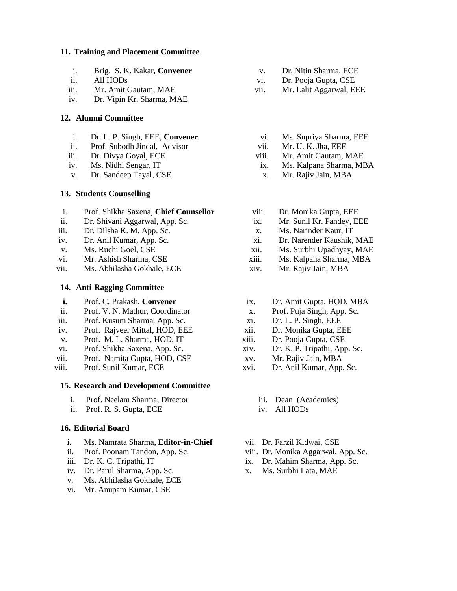#### **11. Training and Placement Committee**

- i. Brig. S. K. Kakar, **Convener**
- ii. All HODs
- iii. Mr. Amit Gautam, MAE
- iv. Dr. Vipin Kr. Sharma, MAE

#### **12. Alumni Committee**

- i. Dr. L. P. Singh, EEE, **Convener**
- ii. Prof. Subodh Jindal, Advisor
- iii. Dr. Divya Goyal, ECE
- iv. Ms. Nidhi Sengar, IT
- v. Dr. Sandeep Tayal, CSE

### **13. Students Counselling**

- i. Prof. Shikha Saxena, **Chief Counsellor**
- ii. Dr. Shivani Aggarwal, App. Sc.
- iii. Dr. Dilsha K. M. App. Sc.
- iv. Dr. Anil Kumar, App. Sc.
- v. Ms. Ruchi Goel, CSE
- vi. Mr. Ashish Sharma, CSE
- vii. Ms. Abhilasha Gokhale, ECE

### **14. Anti-Ragging Committee**

- **i.** Prof. C. Prakash, **Convener**
- ii. Prof. V. N. Mathur, Coordinator
- iii. Prof. Kusum Sharma, App. Sc.
- iv. Prof. Rajveer Mittal, HOD, EEE
- v. Prof. M. L. Sharma, HOD, IT
- vi. Prof. Shikha Saxena, App. Sc.
- vii. Prof. Namita Gupta, HOD, CSE
- viii. Prof. Sunil Kumar, ECE

### **15. Research and Development Committee**

- i. Prof. Neelam Sharma, Director
- ii. Prof. R. S. Gupta, ECE

#### **16. Editorial Board**

- **i.** Ms. Namrata Sharma**, Editor-in-Chief**
- ii. Prof. Poonam Tandon, App. Sc.
- iii. Dr. K. C. Tripathi, IT
- iv. Dr. Parul Sharma, App. Sc.
- v. Ms. Abhilasha Gokhale, ECE
- vi. Mr. Anupam Kumar, CSE
- v. Dr. Nitin Sharma, ECE
- vi. Dr. Pooja Gupta, CSE
- vii. Mr. Lalit Aggarwal, EEE
	- vi. Ms. Supriya Sharma, EEE
	- vii. Mr. U. K. Jha, EEE
- viii. Mr. Amit Gautam, MAE
- ix. Ms. Kalpana Sharma, MBA
- x. Mr. Rajiv Jain, MBA
- viii. Dr. Monika Gupta, EEE
- ix. Mr. Sunil Kr. Pandey, EEE
- x. Ms. Narinder Kaur, IT
- xi. Dr. Narender Kaushik, MAE
- xii. Ms. Surbhi Upadhyay, MAE
- xiii. Ms. Kalpana Sharma, MBA
- xiv. Mr. Rajiv Jain, MBA
- ix. Dr. Amit Gupta, HOD, MBA
- x. Prof. Puja Singh, App. Sc.
- xi. Dr. L. P. Singh, EEE
- xii. Dr. Monika Gupta, EEE
- xiii. Dr. Pooja Gupta, CSE
- xiv. Dr. K. P. Tripathi, App. Sc.
- xv. Mr. Rajiv Jain, MBA
- xvi. Dr. Anil Kumar, App. Sc.
	- iii. Dean (Academics)
	- iv. All HODs
- vii. Dr. Farzil Kidwai, CSE
- viii. Dr. Monika Aggarwal, App. Sc.
- ix. Dr. Mahim Sharma, App. Sc.
- x. Ms. Surbhi Lata, MAE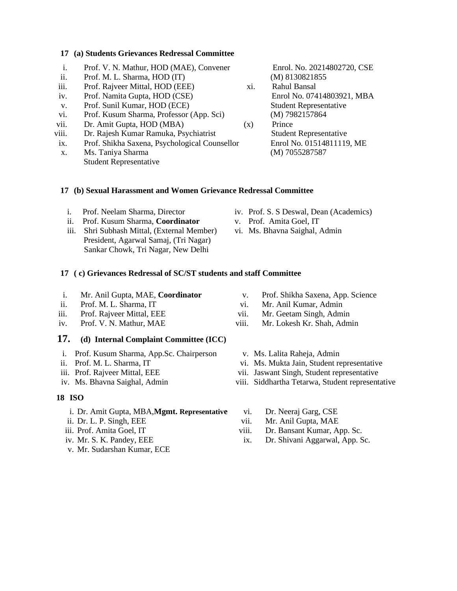#### **17 (a) Students Grievances Redressal Committee**

- i. Prof. V. N. Mathur, HOD (MAE), Convener
- ii. Prof. M. L. Sharma, HOD (IT)
- iii. Prof. Rajveer Mittal, HOD (EEE)
- iv. Prof. Namita Gupta, HOD (CSE)
- v. Prof. Sunil Kumar, HOD (ECE)
- vi. Prof. Kusum Sharma, Professor (App. Sci)
- vii. Dr. Amit Gupta, HOD (MBA)
- viii. Dr. Rajesh Kumar Ramuka, Psychiatrist
- ix. Prof. Shikha Saxena, Psychological Counsellor
- x. Ms. Taniya Sharma Student Representative

 Enrol. No. 20214802720, CSE (M) 8130821855

xi. Rahul Bansal Enrol No. 07414803921, MBA Student Representative (M) 7982157864 (x) Prince

 Student Representative Enrol No. 01514811119, ME (M) 7055287587

### **17 (b) Sexual Harassment and Women Grievance Redressal Committee**

- i. Prof. Neelam Sharma, Director
- ii. Prof. Kusum Sharma, **Coordinator**
- iii. Shri Subhash Mittal, (External Member) President, Agarwal Samaj, (Tri Nagar) Sankar Chowk, Tri Nagar, New Delhi
- iv. Prof. S. S Deswal, Dean (Academics)
- v. Prof. Amita Goel, IT
- vi. Ms. Bhavna Saighal, Admin

### **17 ( c) Grievances Redressal of SC/ST students and staff Committee**

- i. Mr. Anil Gupta, MAE, **Coordinator**
- ii. Prof. M. L. Sharma, IT
- iii. Prof. Rajveer Mittal, EEE
- iv. Prof. V. N. Mathur, MAE

### **17. (d) Internal Complaint Committee (ICC)**

- i. Prof. Kusum Sharma, App.Sc. Chairperson
- ii. Prof. M. L. Sharma, IT
- iii. Prof. Rajveer Mittal, EEE
- iv. Ms. Bhavna Saighal, Admin

#### **18 ISO**

- i. Dr. Amit Gupta, MBA,**Mgmt. Representative**
- ii. Dr. L. P. Singh, EEE
- iii. Prof. Amita Goel, IT
- iv. Mr. S. K. Pandey, EEE
- v. Mr. Sudarshan Kumar, ECE
- v. Prof. Shikha Saxena, App. Science
- vi. Mr. Anil Kumar, Admin
- vii. Mr. Geetam Singh, Admin
- viii. Mr. Lokesh Kr. Shah, Admin
	- v. Ms. Lalita Raheja, Admin
- vi. Ms. Mukta Jain, Student representative
- vii. Jaswant Singh, Student representative
- viii. Siddhartha Tetarwa, Student representative
	- vi. Dr. Neeraj Garg, CSE
	- vii. Mr. Anil Gupta, MAE
- viii. Dr. Bansant Kumar, App. Sc.
- ix. Dr. Shivani Aggarwal, App. Sc.